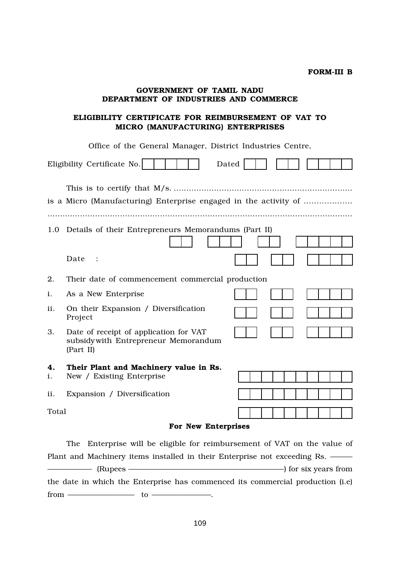## GOVERNMENT OF TAMIL NADU DEPARTMENT OF INDUSTRIES AND COMMERCE

## ELIGIBILITY CERTIFICATE FOR REIMBURSEMENT OF VAT TO MICRO (MANUFACTURING) ENTERPRISES

Office of the General Manager, District Industries Centre,

| Eligibility Certificate No.<br>Dated |                                                                                             |  |
|--------------------------------------|---------------------------------------------------------------------------------------------|--|
|                                      | is a Micro (Manufacturing) Enterprise engaged in the activity of                            |  |
| 1.0                                  | Details of their Entrepreneurs Memorandums (Part II)                                        |  |
|                                      | Date<br>$\ddot{\phantom{1}}$ :                                                              |  |
| 2.                                   | Their date of commencement commercial production                                            |  |
| i.                                   | As a New Enterprise                                                                         |  |
| ii.                                  | On their Expansion / Diversification<br>Project                                             |  |
| 3.                                   | Date of receipt of application for VAT<br>subsidy with Entrepreneur Memorandum<br>(Part II) |  |
| 4.<br>i.                             | Their Plant and Machinery value in Rs.<br>New / Existing Enterprise                         |  |
| ii.                                  | Expansion / Diversification                                                                 |  |
| Total                                |                                                                                             |  |
| For New Enterprises                  |                                                                                             |  |

The Enterprise will be eligible for reimbursement of VAT on the value of Plant and Machinery items installed in their Enterprise not exceeding Rs. —— —————— (Rupees —————————————————————) for six years from the date in which the Enterprise has commenced its commercial production (i.e) from ————————— to ————————.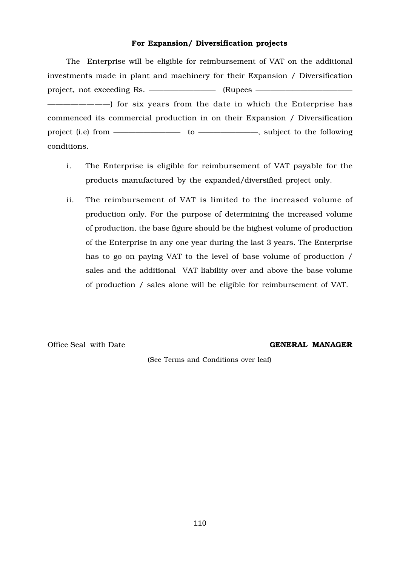## For Expansion/ Diversification projects

The Enterprise will be eligible for reimbursement of VAT on the additional investments made in plant and machinery for their Expansion / Diversification project, not exceeding Rs. ————————— (Rupees ————————————— ————————) for six years from the date in which the Enterprise has commenced its commercial production in on their Expansion / Diversification project (i.e) from ————————————————————, subject to the following conditions.

- i. The Enterprise is eligible for reimbursement of VAT payable for the products manufactured by the expanded/diversified project only.
- ii. The reimbursement of VAT is limited to the increased volume of production only. For the purpose of determining the increased volume of production, the base figure should be the highest volume of production of the Enterprise in any one year during the last 3 years. The Enterprise has to go on paying VAT to the level of base volume of production / sales and the additional VAT liability over and above the base volume of production / sales alone will be eligible for reimbursement of VAT.

Office Seal with Date GENERAL MANAGER

(See Terms and Conditions over leaf)